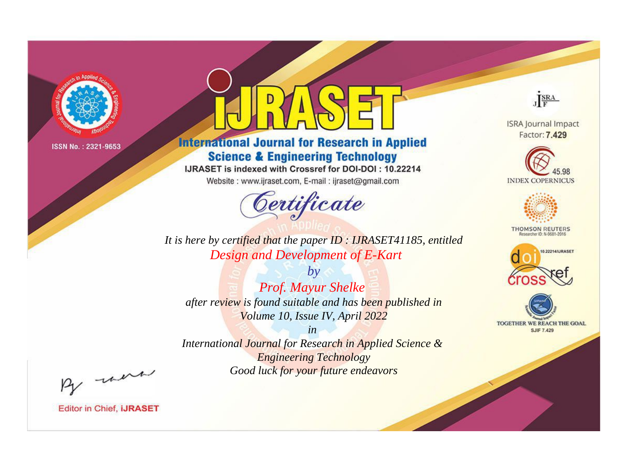

# **International Journal for Research in Applied Science & Engineering Technology**

IJRASET is indexed with Crossref for DOI-DOI: 10.22214

Website: www.ijraset.com, E-mail: ijraset@gmail.com



JERA

**ISRA Journal Impact** Factor: 7.429





**THOMSON REUTERS** 



TOGETHER WE REACH THE GOAL **SJIF 7.429** 

It is here by certified that the paper ID: IJRASET41185, entitled Design and Development of E-Kart

 $b\nu$ Prof. Mayur Shelke after review is found suitable and has been published in Volume 10, Issue IV, April 2022

 $in$ International Journal for Research in Applied Science & **Engineering Technology** Good luck for your future endeavors

By morn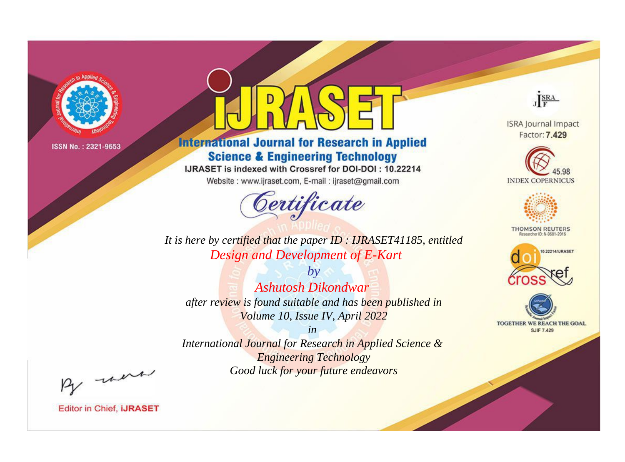

# **International Journal for Research in Applied Science & Engineering Technology**

IJRASET is indexed with Crossref for DOI-DOI: 10.22214

Website: www.ijraset.com, E-mail: ijraset@gmail.com



JERA

**ISRA Journal Impact** Factor: 7.429





**THOMSON REUTERS** 



TOGETHER WE REACH THE GOAL **SJIF 7.429** 

It is here by certified that the paper ID: IJRASET41185, entitled Design and Development of E-Kart

 $b\nu$ Ashutosh Dikondwar after review is found suitable and has been published in Volume 10, Issue IV, April 2022

 $in$ International Journal for Research in Applied Science & **Engineering Technology** Good luck for your future endeavors

By morn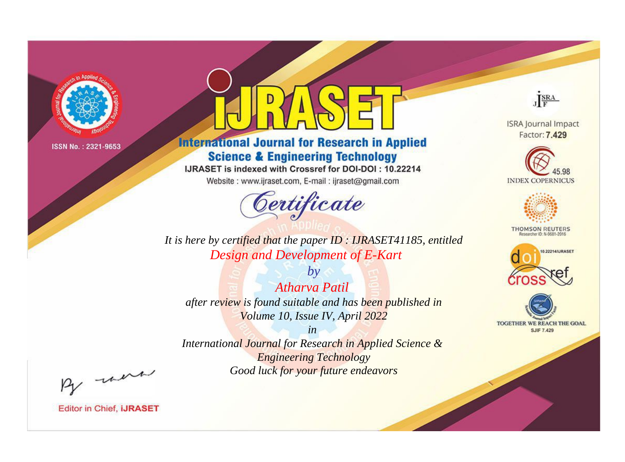

# **International Journal for Research in Applied Science & Engineering Technology**

IJRASET is indexed with Crossref for DOI-DOI: 10.22214

Website: www.ijraset.com, E-mail: ijraset@gmail.com



JERA **ISRA Journal Impact** 

Factor: 7.429





**THOMSON REUTERS** 



TOGETHER WE REACH THE GOAL **SJIF 7.429** 

*It is here by certified that the paper ID : IJRASET41185, entitled Design and Development of E-Kart*

*by Atharva Patil after review is found suitable and has been published in Volume 10, Issue IV, April 2022*

*in* 

*International Journal for Research in Applied Science & Engineering Technology Good luck for your future endeavors*

By morn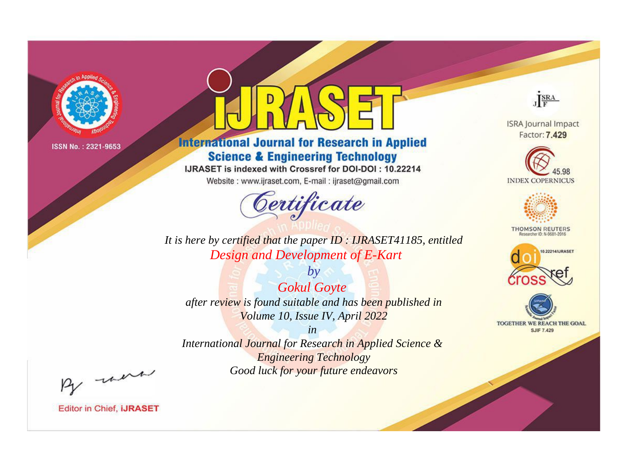

# **International Journal for Research in Applied Science & Engineering Technology**

IJRASET is indexed with Crossref for DOI-DOI: 10.22214

Website: www.ijraset.com, E-mail: ijraset@gmail.com



JERA

**ISRA Journal Impact** Factor: 7.429





**THOMSON REUTERS** 



TOGETHER WE REACH THE GOAL **SJIF 7.429** 

*It is here by certified that the paper ID : IJRASET41185, entitled Design and Development of E-Kart*

*Gokul Goyte after review is found suitable and has been published in Volume 10, Issue IV, April 2022*

*by*

*in* 

*International Journal for Research in Applied Science & Engineering Technology Good luck for your future endeavors*

By morn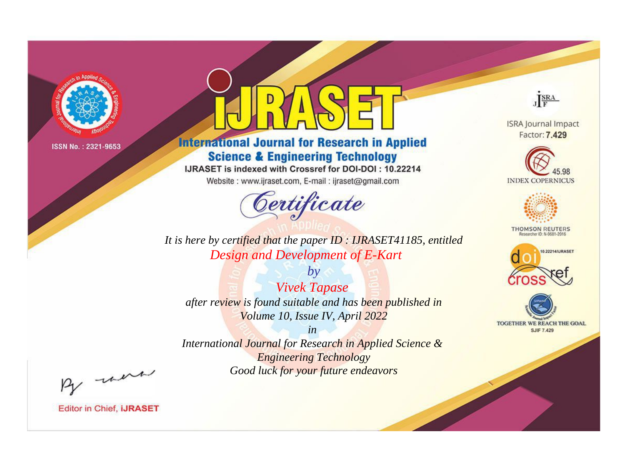

# **International Journal for Research in Applied Science & Engineering Technology**

IJRASET is indexed with Crossref for DOI-DOI: 10.22214

Website: www.ijraset.com, E-mail: ijraset@gmail.com



**ISRA Journal Impact** 

JERA

Factor: 7.429





**THOMSON REUTERS** 



TOGETHER WE REACH THE GOAL **SJIF 7.429** 

*It is here by certified that the paper ID : IJRASET41185, entitled Design and Development of E-Kart*

*by Vivek Tapase after review is found suitable and has been published in Volume 10, Issue IV, April 2022*

*in* 

*International Journal for Research in Applied Science & Engineering Technology Good luck for your future endeavors*

By morn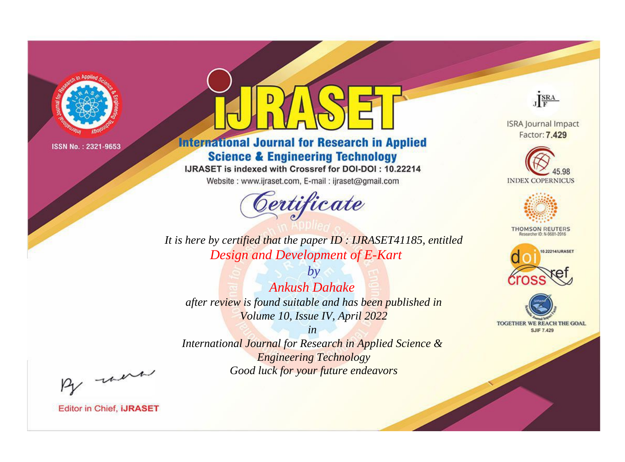

# **International Journal for Research in Applied Science & Engineering Technology**

IJRASET is indexed with Crossref for DOI-DOI: 10.22214

Website: www.ijraset.com, E-mail: ijraset@gmail.com



JERA

**ISRA Journal Impact** Factor: 7.429





**THOMSON REUTERS** 



TOGETHER WE REACH THE GOAL **SJIF 7.429** 

*It is here by certified that the paper ID : IJRASET41185, entitled Design and Development of E-Kart*

*by Ankush Dahake after review is found suitable and has been published in Volume 10, Issue IV, April 2022*

*in* 

*International Journal for Research in Applied Science & Engineering Technology Good luck for your future endeavors*

By morn